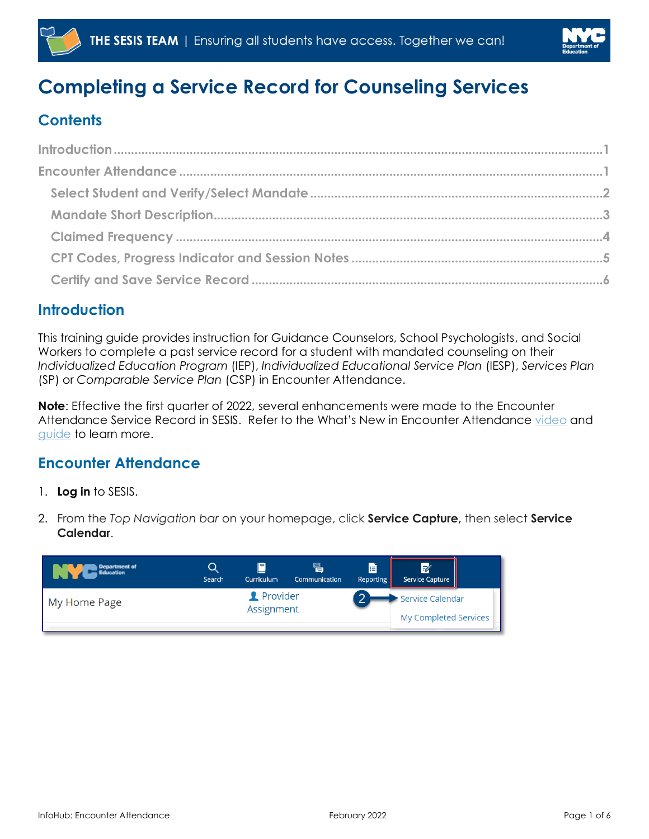



# **Completing a Service Record for Counseling Services**

# **Contents**

## <span id="page-0-0"></span>**Introduction**

This training guide provides instruction for Guidance Counselors, School Psychologists, and Social Workers to complete a past service record for a student with mandated counseling on their *Individualized Education Program* (IEP), *Individualized Educational Service Plan* (IESP), *Services Plan* (SP) or *Comparable Service Plan* (CSP) in Encounter Attendance.

**Note**: Effective the first quarter of 2022, several enhancements were made to the Encounter Attendance Service Record in SESIS. Refer to the What's New in Encounter Attendance [video](https://rebrand.ly/whatsnewea22) and [guide](https://infohub.nyced.org/docs/default-source/default-document-library/whats-new-in-encounter-attendance-guide.pdf) to learn more.

### <span id="page-0-1"></span>**Encounter Attendance**

- 1. **Log in** to SESIS.
- 2. From the *Top Navigation bar* on your homepage, click **Service Capture,** then select **Service Calendar**.

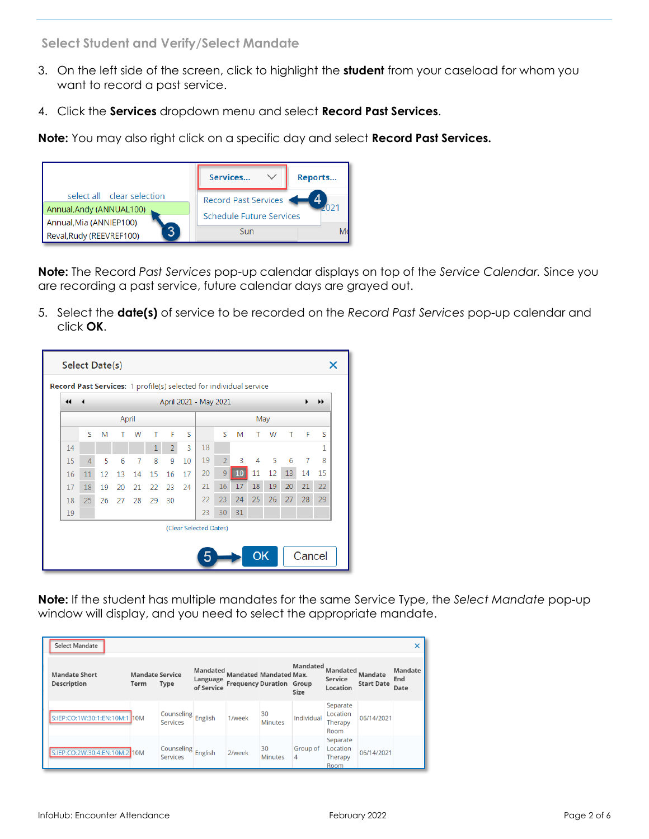<span id="page-1-0"></span>**Select Student and Verify/Select Mandate**

- 3. On the left side of the screen, click to highlight the **student** from your caseload for whom you want to record a past service.
- 4. Click the **Services** dropdown menu and select **Record Past Services**.

**Note:** You may also right click on a specific day and select **Record Past Services.** 



**Note:** The Record *Past Services* pop-up calendar displays on top of the *Service Calendar.* Since you are recording a past service, future calendar days are grayed out.

5. Select the **date(s)** of service to be recorded on the *Record Past Services* pop-up calendar and click **OK**.

| $\blacktriangleleft$ |                |    |    |    |    |                |    | April 2021 - May 2021 |                |     |    |    |    |    | ▸  |
|----------------------|----------------|----|----|----|----|----------------|----|-----------------------|----------------|-----|----|----|----|----|----|
| April                |                |    |    |    |    |                |    |                       |                | May |    |    |    |    |    |
|                      | S              | M  |    | W  | т  | F              | S  |                       | S              | M   | т  | W  | Т  | F  | S  |
| 14                   |                |    |    |    |    | $\overline{2}$ | 3  | 18                    |                |     |    |    |    |    | 1  |
| 15                   | $\overline{4}$ | 5  | 6  | 7  | 8  | 9              | 10 | 19                    | $\overline{2}$ | 3   | 4  | 5  | 6  | 7  | 8  |
| 16                   | 11             | 12 | 13 | 14 | 15 | 16             | 17 | 20                    | 9              | 10  | 11 | 12 | 13 | 14 | 15 |
| 17                   | 18             | 19 | 20 | 21 | 22 | 23             | 24 | 21                    | 16             | 17  | 18 | 19 | 20 | 21 | 22 |
| 18                   | 25             | 26 | 27 | 28 | 29 | 30             |    | 22                    | 23             | 24  | 25 | 26 | 27 | 28 | 29 |
| 19                   |                |    |    |    |    |                |    | 23                    | 30             | 31  |    |    |    |    |    |

**Note:** If the student has multiple mandates for the same Service Type, the *Select Mandate* pop-up window will display, and you need to select the appropriate mandate.

| Select Mandate                             |                                |                               |                                           |                                                                  |                      |                                |                                         |                                     | $\times$               |
|--------------------------------------------|--------------------------------|-------------------------------|-------------------------------------------|------------------------------------------------------------------|----------------------|--------------------------------|-----------------------------------------|-------------------------------------|------------------------|
| <b>Mandate Short</b><br><b>Description</b> | <b>Mandate Service</b><br>Term | <b>Type</b>                   | <b>Mandated</b><br>Language<br>of Service | <b>Mandated Mandated Max.</b><br><b>Frequency Duration Group</b> |                      | <b>Mandated</b><br><b>Size</b> | <b>Mandated</b><br>Service<br>Location  | <b>Mandate</b><br><b>Start Date</b> | Mandate<br>End<br>Date |
| S:IEP:CO:1W:30:1:EN:10M:1 10M              |                                | Counseling<br><b>Services</b> | English                                   | 1/week                                                           | 30<br><b>Minutes</b> | Individual                     | Separate<br>Location<br>Therapy<br>Room | 06/14/2021                          |                        |
| S:IEP:CO:2W:30:4:EN:10M:2 10M              |                                | Counseling<br>Services        | English                                   | 2/week                                                           | 30<br><b>Minutes</b> | Group of<br>4                  | Separate<br>Location<br>Therapy<br>Room | 06/14/2021                          |                        |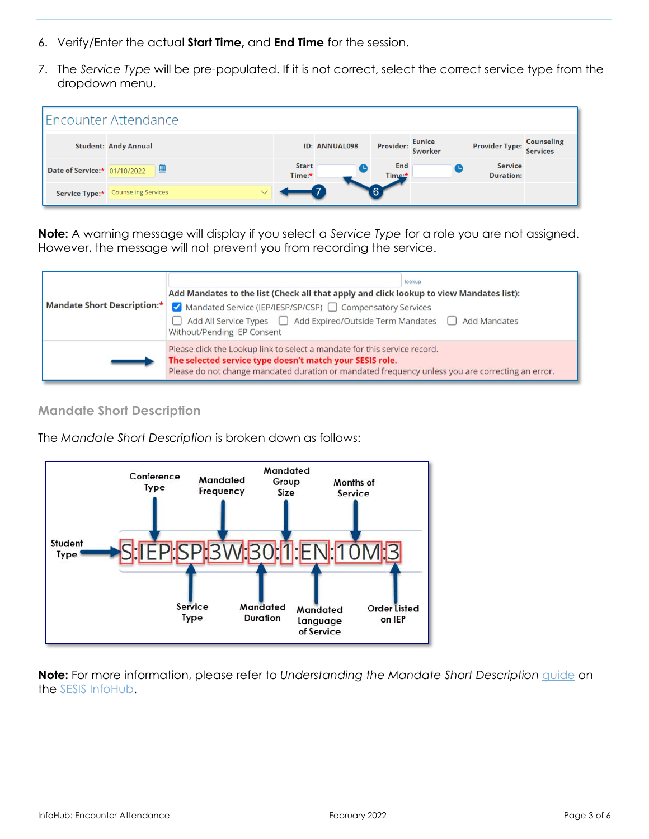- 6. Verify/Enter the actual **Start Time,** and **End Time** for the session.
- 7. The *Service Type* will be pre-populated. If it is not correct, select the correct service type from the dropdown menu.



**Note:** A warning message will display if you select a *Service Type* for a role you are not assigned. However, the message will not prevent you from recording the service.



#### <span id="page-2-0"></span>**Mandate Short Description**

The *Mandate Short Description* is broken down as follows:



**Note:** For more information, please refer to *Understanding the Mandate Short Description* [guide](https://infohub.nyced.org/docs/default-source/doe-employees-only/understanding-the-mandate-short-description.pdf) on the SESIS [InfoHub.](https://infohub.nyced.org/nyc-doe-topics/specialized-areas/special-education/sesis/encounter-attendance)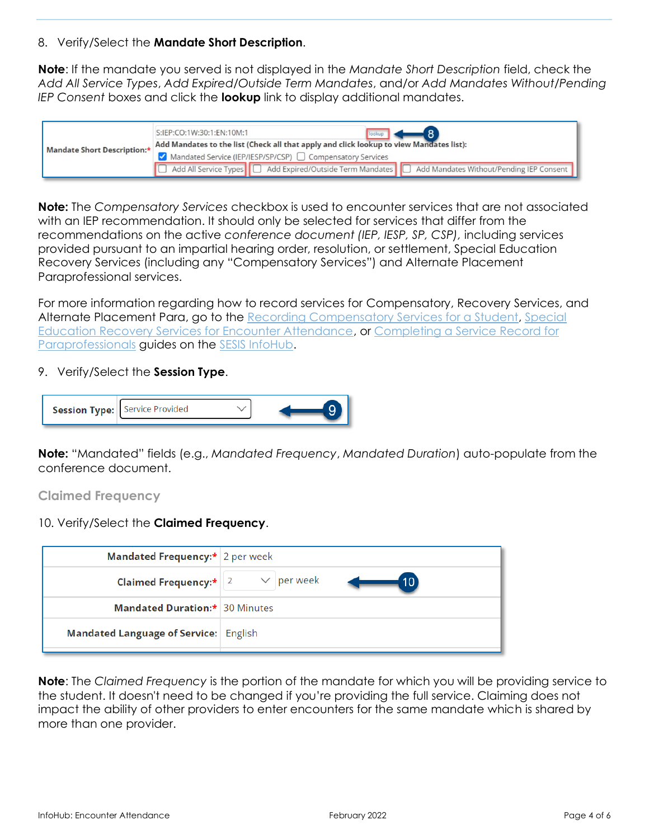#### 8. Verify/Select the **Mandate Short Description**.

**Note**: If the mandate you served is not displayed in the *Mandate Short Description* field, check the *Add All Service Types*, *Add Expired/Outside Term Mandates*, and/or *Add Mandates Without/Pending IEP Consent* boxes and click the **lookup** link to display additional mandates.

| Mandate Short Description:* | S:IEP:CO:1W:30:1:EN:10M:1<br>lookup -                                                                |  |  |  |  |  |  |  |  |  |
|-----------------------------|------------------------------------------------------------------------------------------------------|--|--|--|--|--|--|--|--|--|
|                             | Add Mandates to the list (Check all that apply and click lookup to view Mandates list):              |  |  |  |  |  |  |  |  |  |
|                             | √ Mandated Service (IEP/IESP/SP/CSP) □ Compensatory Services                                         |  |  |  |  |  |  |  |  |  |
|                             | Add All Service Types   Add Expired/Outside Term Mandates   Add Mandates Without/Pending IEP Consent |  |  |  |  |  |  |  |  |  |

**Note:** The *Compensatory Services* checkbox is used to encounter services that are not associated with an IEP recommendation. It should only be selected for services that differ from the recommendations on the active *conference document (IEP, IESP, SP, CSP),* including services provided pursuant to an impartial hearing order, resolution, or settlement, Special Education Recovery Services (including any "Compensatory Services") and Alternate Placement Paraprofessional services.

For more information regarding how to record services for Compensatory, Recovery Services, and Alternate Placement Para, go to the [Recording Compensatory Services for a Student,](https://infohub.nyced.org/docs/default-source/default-document-library/recording-compensatory-services-for-a-student.pdf) Special [Education Recovery Services for Encounter Attendance,](https://infohub.nyced.org/docs/default-source/default-document-library/encounter-attendance-service-record-special-education-recovery-services.pdf) or Completing a Service Record for [Paraprofessionals](https://infohub.nyced.org/docs/default-source/default-document-library/paraprofessional-how-to-complete-a-past-service-record.pdf) guides on the [SESIS InfoHub.](https://infohub.nyced.org/nyc-doe-topics/specialized-areas/special-education/sesis/encounter-attendance)

#### 9. Verify/Select the **Session Type**.



**Note:** "Mandated" fields (e.g., *Mandated Frequency*, *Mandated Duration*) auto-populate from the conference document.

<span id="page-3-0"></span>**Claimed Frequency**

#### 10. Verify/Select the **Claimed Frequency**.

| Mandated Frequency:* 2 per week                          |    |
|----------------------------------------------------------|----|
| <b>Claimed Frequency:</b> $\ 2 \times \text{per week}\ $ | 10 |
| <b>Mandated Duration:* 30 Minutes</b>                    |    |
| Mandated Language of Service: English                    |    |

**Note**: The *Claimed Frequency* is the portion of the mandate for which you will be providing service to the student. It doesn't need to be changed if you're providing the full service. Claiming does not impact the ability of other providers to enter encounters for the same mandate which is shared by more than one provider.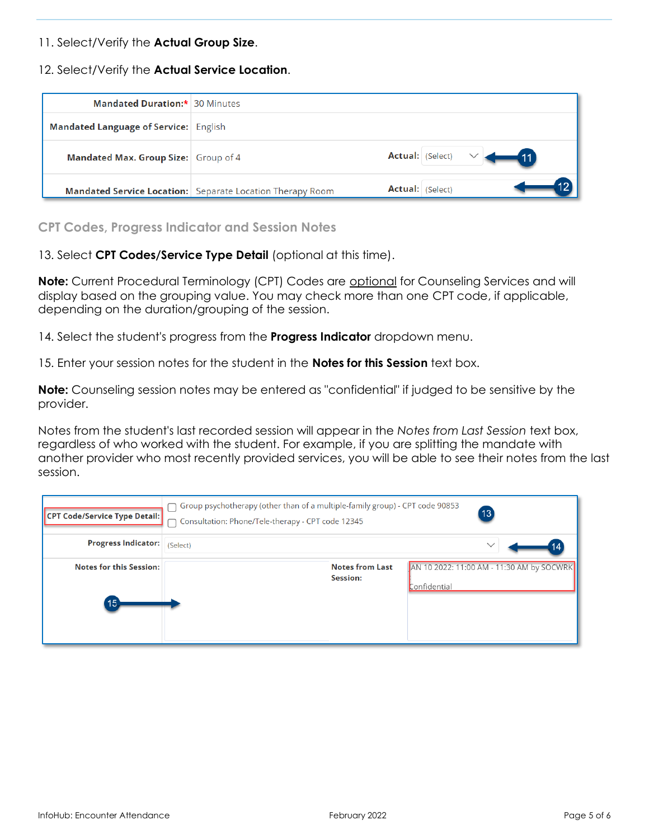#### 11. Select/Verify the **Actual Group Size**.

12. Select/Verify the **Actual Service Location**.

| <b>Mandated Duration:* 30 Minutes</b> |                                                                  |                                |
|---------------------------------------|------------------------------------------------------------------|--------------------------------|
| Mandated Language of Service: English |                                                                  |                                |
| Mandated Max. Group Size: Group of 4  |                                                                  | <b>Actual:</b> (Select)<br>—41 |
|                                       | <b>Mandated Service Location:</b> Separate Location Therapy Room | <b>Actual:</b> (Select)        |

<span id="page-4-0"></span>**CPT Codes, Progress Indicator and Session Notes**

13. Select **CPT Codes/Service Type Detail** (optional at this time).

**Note:** Current Procedural Terminology (CPT) Codes are optional for Counseling Services and will display based on the grouping value. You may check more than one CPT code, if applicable, depending on the duration/grouping of the session.

14. Select the student's progress from the **Progress Indicator** dropdown menu.

15. Enter your session notes for the student in the **Notes for this Session** text box.

**Note:** Counseling session notes may be entered as "confidential" if judged to be sensitive by the provider.

Notes from the student's last recorded session will appear in the *Notes from Last Session* text box, regardless of who worked with the student. For example, if you are splitting the mandate with another provider who most recently provided services, you will be able to see their notes from the last session.